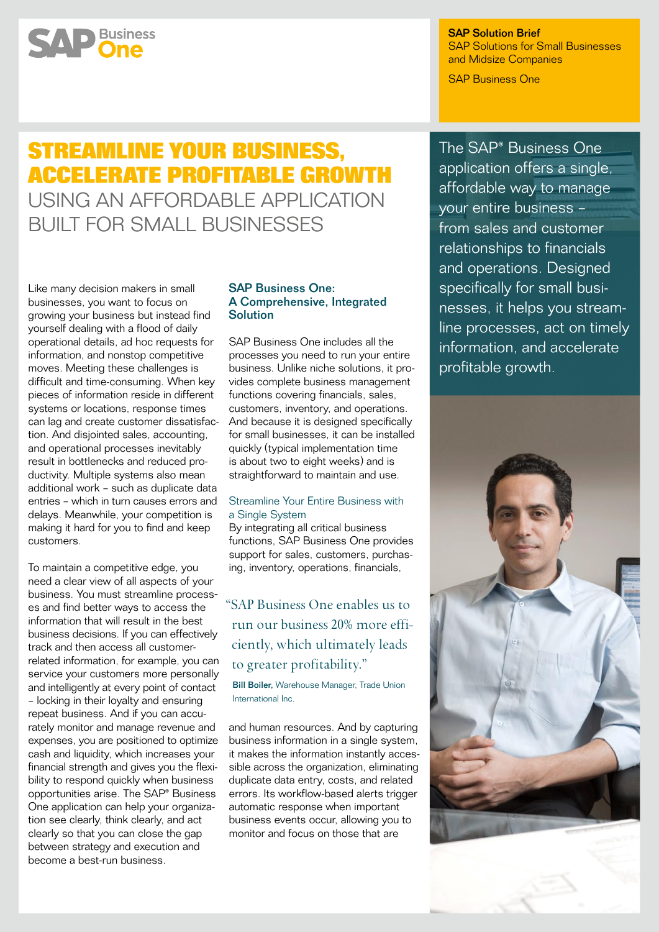SAP Solution Brief SAP Solutions for Small Businesses and Midsize Companies

SAP Business One

# **Streamline Your Business, Accelerate Profitable Growth**  Using an Affordable Application

Built for Small Businesses

Like many decision makers in small businesses, you want to focus on growing your business but instead find yourself dealing with a flood of daily operational details, ad hoc requests for information, and nonstop competitive moves. Meeting these challenges is difficult and time-consuming. When key pieces of information reside in different systems or locations, response times can lag and create customer dissatisfaction. And disjointed sales, accounting, and operational processes inevitably result in bottlenecks and reduced productivity. Multiple systems also mean additional work – such as duplicate data entries – which in turn causes errors and delays. Meanwhile, your competition is making it hard for you to find and keep customers.

**SAP** Business

To maintain a competitive edge, you need a clear view of all aspects of your business. You must streamline process es and find better ways to access the information that will result in the best business decisions. If you can effectively track and then access all customerrelated information, for example, you can service your customers more personally and intelligently at every point of contact – locking in their loyalty and ensuring repeat business. And if you can accurately monitor and manage revenue and expenses, you are positioned to optimize cash and liquidity, which increases your financial strength and gives you the flexibility to respond quickly when business opportunities arise. The SAP® Business One application can help your organization see clearly, think clearly, and act clearly so that you can close the gap between strategy and execution and become a best-run business.

# SAP Business One: A Comprehensive, Integrated **Solution**

SAP Business One includes all the processes you need to run your entire business. Unlike niche solutions, it provides complete business management functions covering financials, sales, customers, inventory, and operations. And because it is designed specifically for small businesses, it can be installed quickly (typical implementation time is about two to eight weeks) and is straightforward to maintain and use.

# Streamline Your Entire Business with a Single System

By integrating all critical business functions, SAP Business One provides support for sales, customers, purchasing, inventory, operations, financials,

# "SAP Business One enables us to run our business 20% more efficiently, which ultimately leads to greater profitability."

Bill Boiler, Warehouse Manager, Trade Union International Inc.

and human resources. And by capturing business information in a single system, it makes the information instantly accessible across the organization, eliminating duplicate data entry, costs, and related errors. Its workflow-based alerts trigger automatic response when important business events occur, allowing you to monitor and focus on those that are

The SAP® Business One application offers a single, affordable way to manage your entire business – from sales and customer relationships to financials and operations. Designed specifically for small businesses, it helps you streamline processes, act on timely information, and accelerate profitable growth.

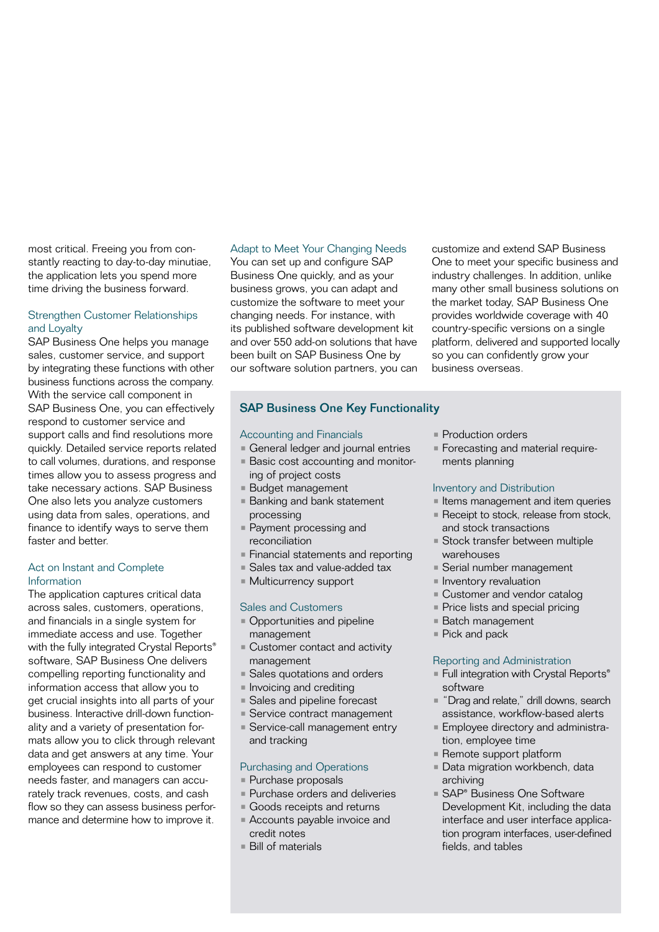most critical. Freeing you from constantly reacting to day-to-day minutiae, the application lets you spend more time driving the business forward.

# Strengthen Customer Relationships and Loyalty

SAP Business One helps you manage sales, customer service, and support by integrating these functions with other business functions across the company. With the service call component in SAP Business One, you can effectively respond to customer service and support calls and find resolutions more quickly. Detailed service reports related to call volumes, durations, and response times allow you to assess progress and take necessary actions. SAP Business One also lets you analyze customers using data from sales, operations, and finance to identify ways to serve them faster and better

# Act on Instant and Complete Information

The application captures critical data across sales, customers, operations, and financials in a single system for immediate access and use. Together with the fully integrated Crystal Reports® software, SAP Business One delivers compelling reporting functionality and information access that allow you to get crucial insights into all parts of your business. Interactive drill-down functionality and a variety of presentation formats allow you to click through relevant data and get answers at any time. Your employees can respond to customer needs faster, and managers can accurately track revenues, costs, and cash flow so they can assess business performance and determine how to improve it.

# Adapt to Meet Your Changing Needs

You can set up and configure SAP Business One quickly, and as your business grows, you can adapt and customize the software to meet your changing needs. For instance, with its published software development kit and over 550 add-on solutions that have been built on SAP Business One by our software solution partners, you can

# SAP Business One Key Functionality

# Accounting and Financials

- **General ledger and journal entries**
- Basic cost accounting and monitor-
- ing of project costs
- Budget management
- Banking and bank statement processing
- Payment processing and reconciliation
- Financial statements and reporting
- Sales tax and value-added tax
- Multicurrency support

# Sales and Customers

- Opportunities and pipeline management
- Customer contact and activity management
- Sales quotations and orders
- **Invoicing and crediting**
- Sales and pipeline forecast
- Service contract management
- **Service-call management entry** and tracking

# Purchasing and Operations

- Purchase proposals
- Purchase orders and deliveries
- Goods receipts and returns
- Accounts payable invoice and credit notes
- Bill of materials

**• Production orders** 

business overseas.

• Forecasting and material requirements planning

customize and extend SAP Business One to meet your specific business and industry challenges. In addition, unlike many other small business solutions on the market today, SAP Business One provides worldwide coverage with 40 country-specific versions on a single platform, delivered and supported locally so you can confidently grow your

#### Inventory and Distribution

- **I** Items management and item queries
- **Receipt to stock, release from stock,**
- and stock transactions • Stock transfer between multiple
- warehouses
- Serial number management
- **Inventory revaluation**
- **Customer and vendor catalog**
- **Price lists and special pricing**
- Batch management
- Pick and pack

# Reporting and Administration

- Full integration with Crystal Reports<sup>®</sup> software
- "Drag and relate," drill downs, search assistance, workflow-based alerts
- **Employee directory and administra**tion, employee time
- Remote support platform
- Data migration workbench, data archiving
- SAP® Business One Software Development Kit, including the data interface and user interface application program interfaces, user-defined fields, and tables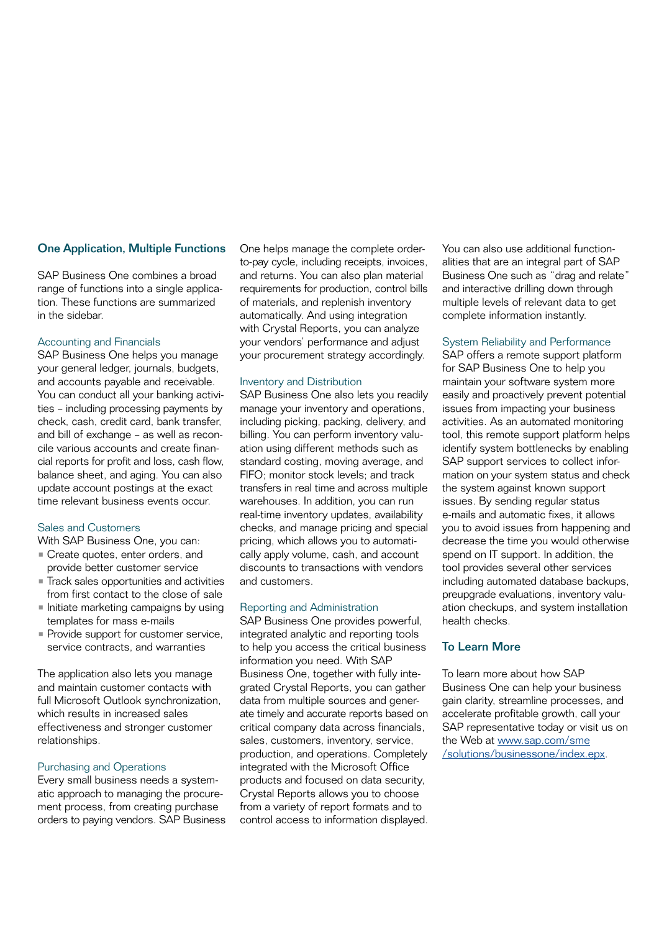# One Application, Multiple Functions

SAP Business One combines a broad range of functions into a single application. These functions are summarized in the sidebar.

# Accounting and Financials

SAP Business One helps you manage your general ledger, journals, budgets, and accounts payable and receivable. You can conduct all your banking activities – including processing payments by check, cash, credit card, bank transfer, and bill of exchange – as well as reconcile various accounts and create financial reports for profit and loss, cash flow, balance sheet, and aging. You can also update account postings at the exact time relevant business events occur.

# Sales and Customers

With SAP Business One, you can:

- Create quotes, enter orders, and provide better customer service
- Track sales opportunities and activities from first contact to the close of sale
- Initiate marketing campaigns by using templates for mass e-mails
- **Provide support for customer service,** service contracts, and warranties

The application also lets you manage and maintain customer contacts with full Microsoft Outlook synchronization, which results in increased sales effectiveness and stronger customer relationships.

# Purchasing and Operations

Every small business needs a systematic approach to managing the procurement process, from creating purchase orders to paying vendors. SAP Business One helps manage the complete orderto-pay cycle, including receipts, invoices, and returns. You can also plan material requirements for production, control bills of materials, and replenish inventory automatically. And using integration with Crystal Reports, you can analyze your vendors' performance and adjust your procurement strategy accordingly.

# Inventory and Distribution

SAP Business One also lets you readily manage your inventory and operations, including picking, packing, delivery, and billing. You can perform inventory valuation using different methods such as standard costing, moving average, and FIFO; monitor stock levels; and track transfers in real time and across multiple warehouses. In addition, you can run real-time inventory updates, availability checks, and manage pricing and special pricing, which allows you to automatically apply volume, cash, and account discounts to transactions with vendors and customers.

#### Reporting and Administration

SAP Business One provides powerful, integrated analytic and reporting tools to help you access the critical business information you need. With SAP Business One, together with fully integrated Crystal Reports, you can gather data from multiple sources and generate timely and accurate reports based on critical company data across financials, sales, customers, inventory, service, production, and operations. Completely integrated with the Microsoft Office products and focused on data security, Crystal Reports allows you to choose from a variety of report formats and to control access to information displayed. You can also use additional functionalities that are an integral part of SAP Business One such as "drag and relate" and interactive drilling down through multiple levels of relevant data to get complete information instantly.

### System Reliability and Performance

SAP offers a remote support platform for SAP Business One to help you maintain your software system more easily and proactively prevent potential issues from impacting your business activities. As an automated monitoring tool, this remote support platform helps identify system bottlenecks by enabling SAP support services to collect information on your system status and check the system against known support issues. By sending regular status e-mails and automatic fixes, it allows you to avoid issues from happening and decrease the time you would otherwise spend on IT support. In addition, the tool provides several other services including automated database backups, preupgrade evaluations, inventory valuation checkups, and system installation health checks.

# To Learn More

To learn more about how SAP Business One can help your business gain clarity, streamline processes, and accelerate profitable growth, call your SAP representative today or visit us on the Web at [www.sap.com/sme](www.sap.com/sme/solutions/businessone/index.epx) [/solutions/businessone/index.epx.](www.sap.com/sme/solutions/businessone/index.epx)